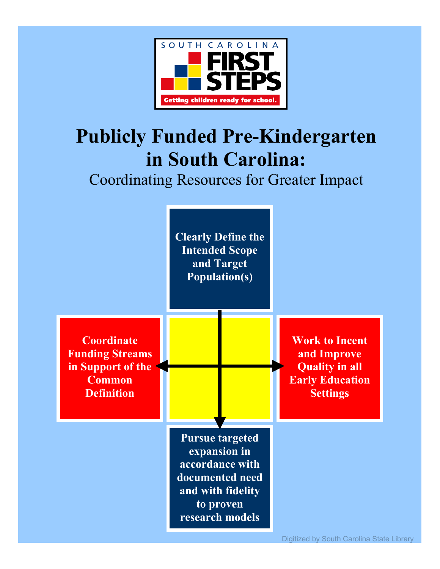

# **Publicly Funded Pre-Kindergarten in South Carolina:**

## Coordinating Resources for Greater Impact

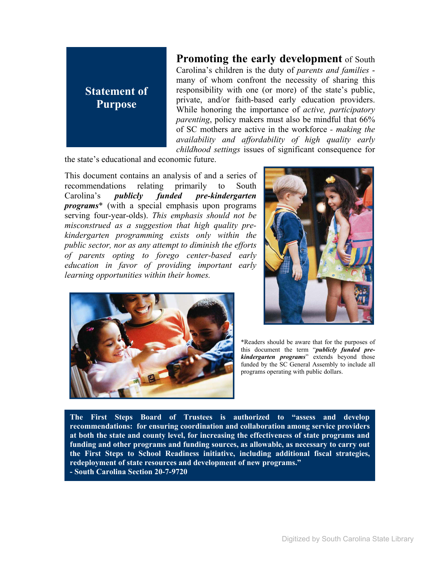

**Promoting the early development** of South Carolina's children is the duty of *parents and families* many of whom confront the necessity of sharing this responsibility with one (or more) of the state's public, private, and/or faith-based early education providers. While honoring the importance of *active, participatory parenting*, policy makers must also be mindful that 66% of SC mothers are active in the workforce *- making the availability and affordability of high quality early childhood settings* issues of significant consequence for

the state's educational and economic future.

This document contains an analysis of and a series of recommendations relating primarily to South Carolina's *publicly funded pre-kindergarten programs*\* (with a special emphasis upon programs serving four-year-olds). *This emphasis should not be misconstrued as a suggestion that high quality prekindergarten programming exists only within the public sector, nor as any attempt to diminish the efforts of parents opting to forego center-based early education in favor of providing important early learning opportunities within their homes.* 





\*Readers should be aware that for the purposes of this document the term "*publicly funded prekindergarten programs*" extends beyond those funded by the SC General Assembly to include all programs operating with public dollars.

**The First Steps Board of Trustees is authorized to "assess and develop recommendations: for ensuring coordination and collaboration among service providers at both the state and county level, for increasing the effectiveness of state programs and funding and other programs and funding sources, as allowable, as necessary to carry out the First Steps to School Readiness initiative, including additional fiscal strategies, redeployment of state resources and development of new programs." - South Carolina Section 20-7-9720**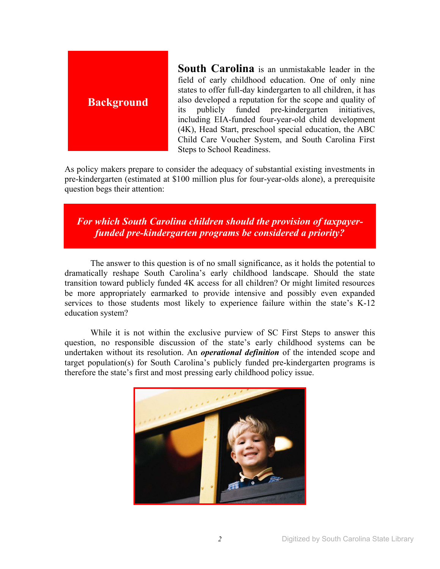

**South Carolina** is an unmistakable leader in the field of early childhood education. One of only nine states to offer full-day kindergarten to all children, it has also developed a reputation for the scope and quality of its publicly funded pre-kindergarten initiatives, including EIA-funded four-year-old child development (4K), Head Start, preschool special education, the ABC Child Care Voucher System, and South Carolina First Steps to School Readiness.

As policy makers prepare to consider the adequacy of substantial existing investments in pre-kindergarten (estimated at \$100 million plus for four-year-olds alone), a prerequisite question begs their attention:

*For which South Carolina children should the provision of taxpayerfunded pre-kindergarten programs be considered a priority?* 

 The answer to this question is of no small significance, as it holds the potential to dramatically reshape South Carolina's early childhood landscape. Should the state transition toward publicly funded 4K access for all children? Or might limited resources be more appropriately earmarked to provide intensive and possibly even expanded services to those students most likely to experience failure within the state's K-12 education system?

 While it is not within the exclusive purview of SC First Steps to answer this question, no responsible discussion of the state's early childhood systems can be undertaken without its resolution. An *operational definition* of the intended scope and target population(s) for South Carolina's publicly funded pre-kindergarten programs is therefore the state's first and most pressing early childhood policy issue.

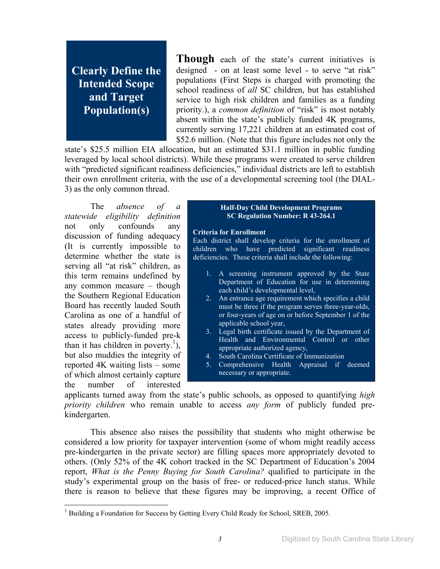## **Clearly Define the Intended Scope and Target Population(s)**

**Though** each of the state's current initiatives is designed - on at least some level - to serve "at risk" populations (First Steps is charged with promoting the school readiness of *all* SC children, but has established service to high risk children and families as a funding priority.), a *common definition* of "risk" is most notably absent within the state's publicly funded 4K programs, currently serving 17,221 children at an estimated cost of \$52.6 million. (Note that this figure includes not only the

state's \$25.5 million EIA allocation, but an estimated \$31.1 million in public funding leveraged by local school districts). While these programs were created to serve children with "predicted significant readiness deficiencies," individual districts are left to establish their own enrollment criteria, with the use of a developmental screening tool (the DIAL-3) as the only common thread.

 The *absence of a statewide eligibility definition* not only confounds any discussion of funding adequacy (It is currently impossible to determine whether the state is serving all "at risk" children, as this term remains undefined by any common measure – though the Southern Regional Education Board has recently lauded South Carolina as one of a handful of states already providing more access to publicly-funded pre-k than it has children in poverty.<sup>1</sup>), but also muddies the integrity of reported 4K waiting lists – some of which almost certainly capture the number of interested

-

#### **Half-Day Child Development Programs SC Regulation Number: R 43-264.1**

#### **Criteria for Enrollment**

Each district shall develop criteria for the enrollment of children who have predicted significant readiness deficiencies. These criteria shall include the following:

- 1. A screening instrument approved by the State Department of Education for use in determining each child's developmental level,
- 2. An entrance age requirement which specifies a child must be three if the program serves three-year-olds, or four-years of age on or before September 1 of the applicable school year,
- 3. Legal birth certificate issued by the Department of Health and Environmental Control or other appropriate authorized agency,
- 4. South Carolina Certificate of Immunization
- 5. Comprehensive Health Appraisal if deemed necessary or appropriate.

applicants turned away from the state's public schools, as opposed to quantifying *high priority children* who remain unable to access *any form* of publicly funded prekindergarten.

 This absence also raises the possibility that students who might otherwise be considered a low priority for taxpayer intervention (some of whom might readily access pre-kindergarten in the private sector) are filling spaces more appropriately devoted to others. (Only 52% of the 4K cohort tracked in the SC Department of Education's 2004 report, *What is the Penny Buying for South Carolina?* qualified to participate in the study's experimental group on the basis of free- or reduced-price lunch status. While there is reason to believe that these figures may be improving, a recent Office of

<sup>&</sup>lt;sup>1</sup> Building a Foundation for Success by Getting Every Child Ready for School, SREB, 2005.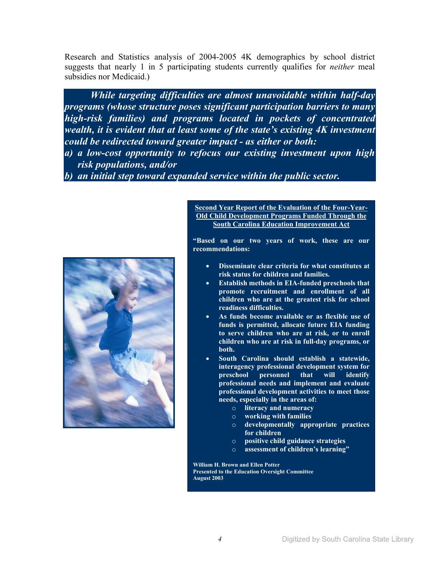Research and Statistics analysis of 2004-2005 4K demographics by school district suggests that nearly 1 in 5 participating students currently qualifies for *neither* meal subsidies nor Medicaid.)

*While targeting difficulties are almost unavoidable within half-day programs (whose structure poses significant participation barriers to many high-risk families) and programs located in pockets of concentrated wealth, it is evident that at least some of the state's existing 4K investment could be redirected toward greater impact - as either or both:* 

*a) a low-cost opportunity to refocus our existing investment upon high risk populations, and/or* 

*b) an initial step toward expanded service within the public sector.*



#### **Second Year Report of the Evaluation of the Four-Year-Old Child Development Programs Funded Through the South Carolina Education Improvement Act**

**"Based on our two years of work, these are our recommendations:** 

- **Disseminate clear criteria for what constitutes at risk status for children and families.**
- **Establish methods in EIA-funded preschools that promote recruitment and enrollment of all children who are at the greatest risk for school readiness difficulties.**
- **As funds become available or as flexible use of funds is permitted, allocate future EIA funding to serve children who are at risk, or to enroll children who are at risk in full-day programs, or both.**
- **South Carolina should establish a statewide, interagency professional development system for preschool personnel that will identify professional needs and implement and evaluate professional development activities to meet those needs, especially in the areas of:** 
	- o **literacy and numeracy**
	- o **working with families**
	- o **developmentally appropriate practices for children**
	- o **positive child guidance strategies**
	- assessment of children's learning"

**William H. Brown and Ellen Potter Presented to the Education Oversight Committee August 2003**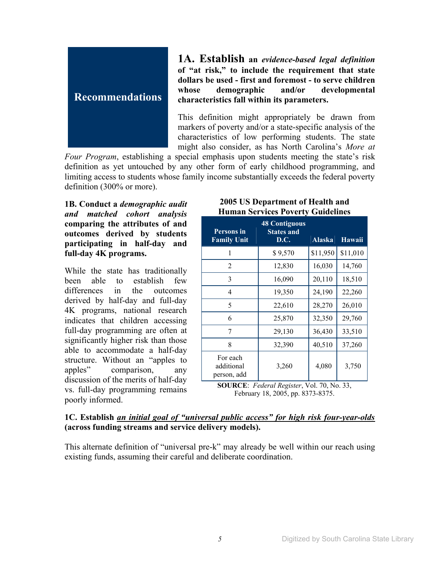

**1A. Establish an** *evidence-based legal definition* **of "at risk," to include the requirement that state dollars be used - first and foremost - to serve children whose demographic and/or developmental characteristics fall within its parameters.** 

This definition might appropriately be drawn from markers of poverty and/or a state-specific analysis of the characteristics of low performing students. The state might also consider, as has North Carolina's *More at* 

*Four Program*, establishing a special emphasis upon students meeting the state's risk definition as yet untouched by any other form of early childhood programming, and limiting access to students whose family income substantially exceeds the federal poverty definition (300% or more).

**1B. Conduct a** *demographic audit and matched cohort analysis* **comparing the attributes of and outcomes derived by students participating in half-day and full-day 4K programs.** 

While the state has traditionally been able to establish few differences in the outcomes derived by half-day and full-day 4K programs, national research indicates that children accessing full-day programming are often at significantly higher risk than those able to accommodate a half-day structure. Without an "apples to apples" comparison, any discussion of the merits of half-day vs. full-day programming remains poorly informed.

#### **2005 US Department of Health and Human Services Poverty Guidelines**

| <b>Persons</b> in<br><b>Family Unit</b> | <b>48 Contiguous</b><br><b>States and</b><br>D.C. | <b>Alaska</b> | <b>Hawaii</b> |
|-----------------------------------------|---------------------------------------------------|---------------|---------------|
| 1                                       | \$9,570                                           | \$11,950      | \$11,010      |
| $\overline{2}$                          | 12,830                                            | 16,030        | 14,760        |
| 3                                       | 16,090                                            | 20,110        | 18,510        |
| 4                                       | 19,350                                            | 24,190        | 22,260        |
| 5                                       | 22,610                                            | 28,270        | 26,010        |
| 6                                       | 25,870                                            | 32,350        | 29,760        |
| 7                                       | 29,130                                            | 36,430        | 33,510        |
| 8                                       | 32,390                                            | 40,510        | 37,260        |
| For each<br>additional<br>person, add   | 3,260                                             | 4,080         | 3,750         |

**SOURCE**: *Federal Register*, Vol. 70, No. 33, February 18, 2005, pp. 8373-8375.

## **1C. Establish** *an initial goal of "universal public access" for high risk four-year-olds* **(across funding streams and service delivery models).**

This alternate definition of "universal pre-k" may already be well within our reach using existing funds, assuming their careful and deliberate coordination.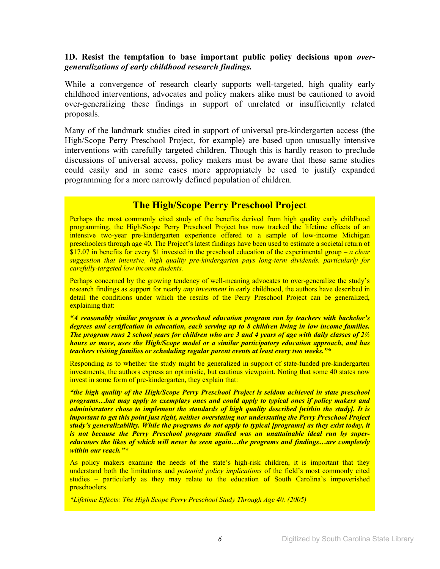#### **1D. Resist the temptation to base important public policy decisions upon** *overgeneralizations of early childhood research findings.*

While a convergence of research clearly supports well-targeted, high quality early childhood interventions, advocates and policy makers alike must be cautioned to avoid over-generalizing these findings in support of unrelated or insufficiently related proposals.

Many of the landmark studies cited in support of universal pre-kindergarten access (the High/Scope Perry Preschool Project, for example) are based upon unusually intensive interventions with carefully targeted children. Though this is hardly reason to preclude discussions of universal access, policy makers must be aware that these same studies could easily and in some cases more appropriately be used to justify expanded programming for a more narrowly defined population of children.

## **The High/Scope Perry Preschool Project**

Perhaps the most commonly cited study of the benefits derived from high quality early childhood programming, the High/Scope Perry Preschool Project has now tracked the lifetime effects of an intensive two-year pre-kindergarten experience offered to a sample of low-income Michigan preschoolers through age 40. The Project's latest findings have been used to estimate a societal return of \$17.07 in benefits for every \$1 invested in the preschool education of the experimental group – *a clear suggestion that intensive, high quality pre-kindergarten pays long-term dividends, particularly for carefully-targeted low income students.* 

Perhaps concerned by the growing tendency of well-meaning advocates to over-generalize the study's research findings as support for nearly *any investment* in early childhood, the authors have described in detail the conditions under which the results of the Perry Preschool Project can be generalized, explaining that:

*"A reasonably similar program is a preschool education program run by teachers with bachelor's degrees and certification in education, each serving up to 8 children living in low income families. The program runs 2 school years for children who are 3 and 4 years of age with daily classes of 2½ hours or more, uses the High/Scope model or a similar participatory education approach, and has teachers visiting families or scheduling regular parent events at least every two weeks."\** 

Responding as to whether the study might be generalized in support of state-funded pre-kindergarten investments, the authors express an optimistic, but cautious viewpoint. Noting that some 40 states now invest in some form of pre-kindergarten, they explain that:

*"the high quality of the High/Scope Perry Preschool Project is seldom achieved in state preschool programs…but may apply to exemplary ones and could apply to typical ones if policy makers and administrators chose to implement the standards of high quality described [within the study]. It is important to get this point just right, neither overstating nor understating the Perry Preschool Project study's generalizability. While the programs do not apply to typical [programs] as they exist today, it is not because the Perry Preschool program studied was an unattainable ideal run by supereducators the likes of which will never be seen again…the programs and findings…are completely within our reach."\** 

As policy makers examine the needs of the state's high-risk children, it is important that they understand both the limitations and *potential policy implications* of the field's most commonly cited studies – particularly as they may relate to the education of South Carolina's impoverished preschoolers.

*\*Lifetime Effects: The High Scope Perry Preschool Study Through Age 40. (2005)*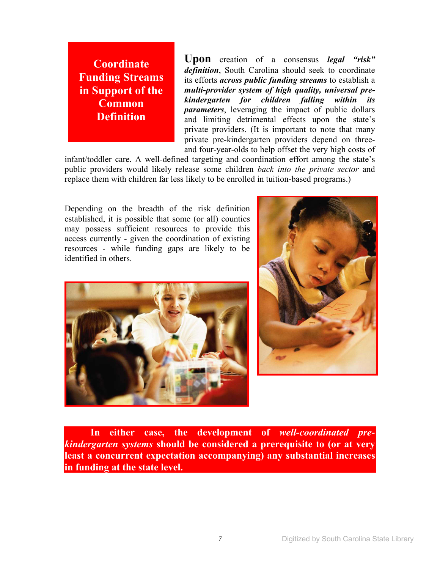**Coordinate Funding Streams in Support of the Common Definition** 

**Upon** creation of a consensus *legal "risk" definition*, South Carolina should seek to coordinate its efforts *across public funding streams* to establish a *multi-provider system of high quality, universal prekindergarten for children falling within its parameters*, leveraging the impact of public dollars and limiting detrimental effects upon the state's private providers. (It is important to note that many private pre-kindergarten providers depend on threeand four-year-olds to help offset the very high costs of

infant/toddler care. A well-defined targeting and coordination effort among the state's public providers would likely release some children *back into the private sector* and replace them with children far less likely to be enrolled in tuition-based programs.)

Depending on the breadth of the risk definition established, it is possible that some (or all) counties may possess sufficient resources to provide this access currently - given the coordination of existing resources - while funding gaps are likely to be identified in others.





 **In either case, the development of** *well-coordinated prekindergarten systems* **should be considered a prerequisite to (or at very least a concurrent expectation accompanying) any substantial increases in funding at the state level.**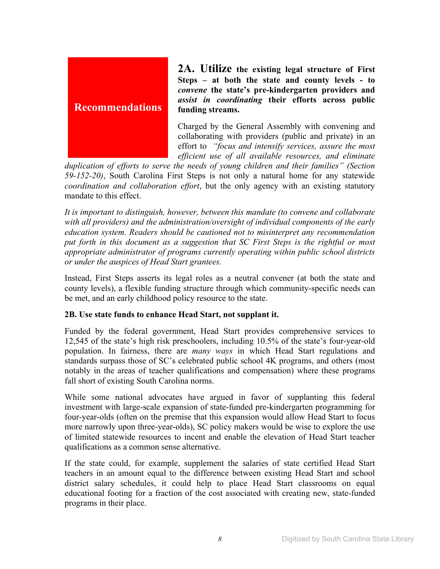

**2A. Utilize the existing legal structure of First Steps – at both the state and county levels - to**  *convene* **the state's pre-kindergarten providers and**  *assist in coordinating* **their efforts across public funding streams.** 

Charged by the General Assembly with convening and collaborating with providers (public and private) in an effort to *"focus and intensify services, assure the most efficient use of all available resources, and eliminate* 

*duplication of efforts to serve the needs of young children and their families" (Section 59-152-20)*, South Carolina First Steps is not only a natural home for any statewide *coordination and collaboration effort*, but the only agency with an existing statutory mandate to this effect.

*It is important to distinguish, however, between this mandate (to convene and collaborate with all providers) and the administration/oversight of individual components of the early education system. Readers should be cautioned not to misinterpret any recommendation put forth in this document as a suggestion that SC First Steps is the rightful or most appropriate administrator of programs currently operating within public school districts or under the auspices of Head Start grantees.* 

Instead, First Steps asserts its legal roles as a neutral convener (at both the state and county levels), a flexible funding structure through which community-specific needs can be met, and an early childhood policy resource to the state.

## **2B. Use state funds to enhance Head Start, not supplant it.**

Funded by the federal government, Head Start provides comprehensive services to 12,545 of the state's high risk preschoolers, including 10.5% of the state's four-year-old population. In fairness, there are *many ways* in which Head Start regulations and standards surpass those of SC's celebrated public school 4K programs, and others (most notably in the areas of teacher qualifications and compensation) where these programs fall short of existing South Carolina norms.

While some national advocates have argued in favor of supplanting this federal investment with large-scale expansion of state-funded pre-kindergarten programming for four-year-olds (often on the premise that this expansion would allow Head Start to focus more narrowly upon three-year-olds), SC policy makers would be wise to explore the use of limited statewide resources to incent and enable the elevation of Head Start teacher qualifications as a common sense alternative.

If the state could, for example, supplement the salaries of state certified Head Start teachers in an amount equal to the difference between existing Head Start and school district salary schedules, it could help to place Head Start classrooms on equal educational footing for a fraction of the cost associated with creating new, state-funded programs in their place.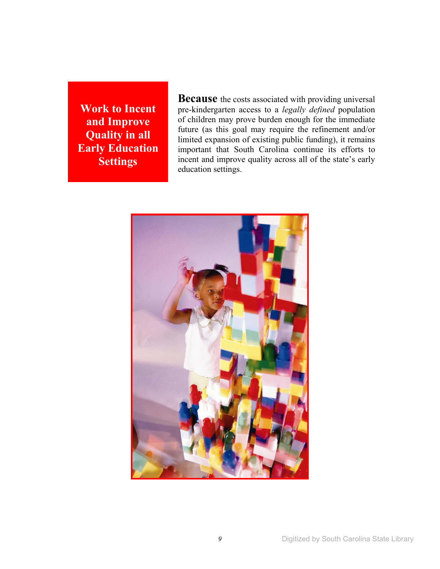**Work to Incent and Improve Quality in all Early Education Settings** 

**Because** the costs associated with providing universal pre-kindergarten access to a *legally defined* population of children may prove burden enough for the immediate future (as this goal may require the refinement and/or limited expansion of existing public funding), it remains important that South Carolina continue its efforts to incent and improve quality across all of the state's early education settings.

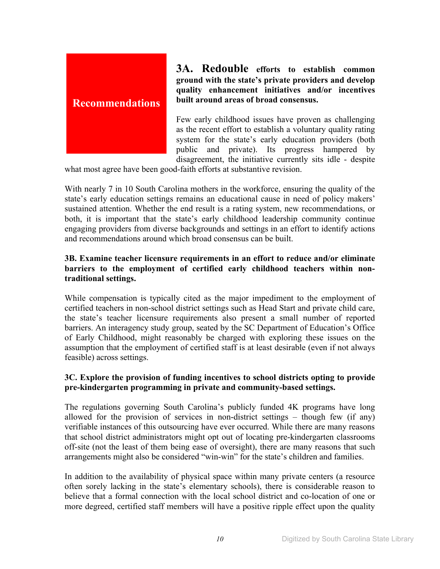

**3A. Redouble efforts to establish common ground with the state's private providers and develop quality enhancement initiatives and/or incentives built around areas of broad consensus.** 

Few early childhood issues have proven as challenging as the recent effort to establish a voluntary quality rating system for the state's early education providers (both public and private). Its progress hampered by disagreement, the initiative currently sits idle - despite

what most agree have been good-faith efforts at substantive revision.

With nearly 7 in 10 South Carolina mothers in the workforce, ensuring the quality of the state's early education settings remains an educational cause in need of policy makers' sustained attention. Whether the end result is a rating system, new recommendations, or both, it is important that the state's early childhood leadership community continue engaging providers from diverse backgrounds and settings in an effort to identify actions and recommendations around which broad consensus can be built.

## **3B. Examine teacher licensure requirements in an effort to reduce and/or eliminate barriers to the employment of certified early childhood teachers within nontraditional settings.**

While compensation is typically cited as the major impediment to the employment of certified teachers in non-school district settings such as Head Start and private child care, the state's teacher licensure requirements also present a small number of reported barriers. An interagency study group, seated by the SC Department of Education's Office of Early Childhood, might reasonably be charged with exploring these issues on the assumption that the employment of certified staff is at least desirable (even if not always feasible) across settings.

## **3C. Explore the provision of funding incentives to school districts opting to provide pre-kindergarten programming in private and community-based settings.**

The regulations governing South Carolina's publicly funded 4K programs have long allowed for the provision of services in non-district settings – though few (if any) verifiable instances of this outsourcing have ever occurred. While there are many reasons that school district administrators might opt out of locating pre-kindergarten classrooms off-site (not the least of them being ease of oversight), there are many reasons that such arrangements might also be considered "win-win" for the state's children and families.

In addition to the availability of physical space within many private centers (a resource often sorely lacking in the state's elementary schools), there is considerable reason to believe that a formal connection with the local school district and co-location of one or more degreed, certified staff members will have a positive ripple effect upon the quality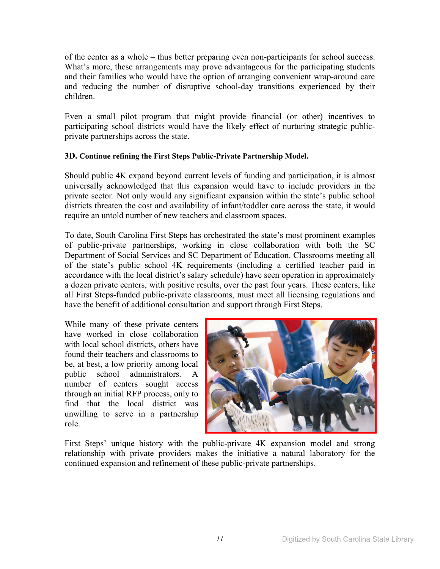of the center as a whole – thus better preparing even non-participants for school success. What's more, these arrangements may prove advantageous for the participating students and their families who would have the option of arranging convenient wrap-around care and reducing the number of disruptive school-day transitions experienced by their children.

Even a small pilot program that might provide financial (or other) incentives to participating school districts would have the likely effect of nurturing strategic publicprivate partnerships across the state.

#### **3D. Continue refining the First Steps Public-Private Partnership Model.**

Should public 4K expand beyond current levels of funding and participation, it is almost universally acknowledged that this expansion would have to include providers in the private sector. Not only would any significant expansion within the state's public school districts threaten the cost and availability of infant/toddler care across the state, it would require an untold number of new teachers and classroom spaces.

To date, South Carolina First Steps has orchestrated the state's most prominent examples of public-private partnerships, working in close collaboration with both the SC Department of Social Services and SC Department of Education. Classrooms meeting all of the state's public school 4K requirements (including a certified teacher paid in accordance with the local district's salary schedule) have seen operation in approximately a dozen private centers, with positive results, over the past four years. These centers, like all First Steps-funded public-private classrooms, must meet all licensing regulations and have the benefit of additional consultation and support through First Steps.

While many of these private centers have worked in close collaboration with local school districts, others have found their teachers and classrooms to be, at best, a low priority among local public school administrators. A number of centers sought access through an initial RFP process, only to find that the local district was unwilling to serve in a partnership role.



First Steps' unique history with the public-private 4K expansion model and strong relationship with private providers makes the initiative a natural laboratory for the continued expansion and refinement of these public-private partnerships.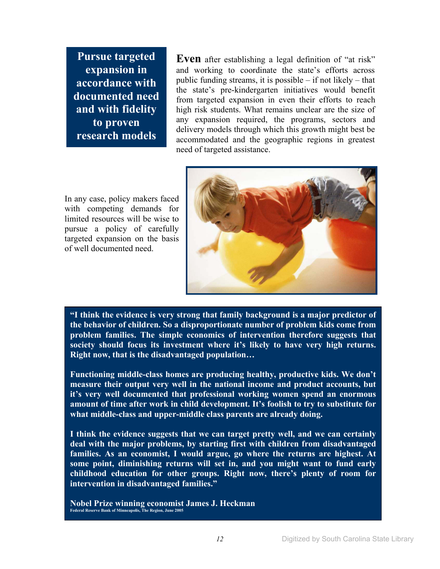**Pursue targeted expansion in accordance with documented need and with fidelity to proven research models**

**Even** after establishing a legal definition of "at risk" and working to coordinate the state's efforts across public funding streams, it is possible – if not likely – that the state's pre-kindergarten initiatives would benefit from targeted expansion in even their efforts to reach high risk students. What remains unclear are the size of any expansion required, the programs, sectors and delivery models through which this growth might best be accommodated and the geographic regions in greatest need of targeted assistance.

In any case, policy makers faced with competing demands for limited resources will be wise to pursue a policy of carefully targeted expansion on the basis of well documented need.



**"I think the evidence is very strong that family background is a major predictor of the behavior of children. So a disproportionate number of problem kids come from problem families. The simple economics of intervention therefore suggests that society should focus its investment where it's likely to have very high returns. Right now, that is the disadvantaged population…** 

**Functioning middle-class homes are producing healthy, productive kids. We don't measure their output very well in the national income and product accounts, but it's very well documented that professional working women spend an enormous amount of time after work in child development. It's foolish to try to substitute for what middle-class and upper-middle class parents are already doing.** 

**I think the evidence suggests that we can target pretty well, and we can certainly deal with the major problems, by starting first with children from disadvantaged families. As an economist, I would argue, go where the returns are highest. At some point, diminishing returns will set in, and you might want to fund early childhood education for other groups. Right now, there's plenty of room for intervention in disadvantaged families."** 

**Nobel Prize winning economist James J. Heckman Federal Reserve Bank of Minneapolis, The Region, June 2005**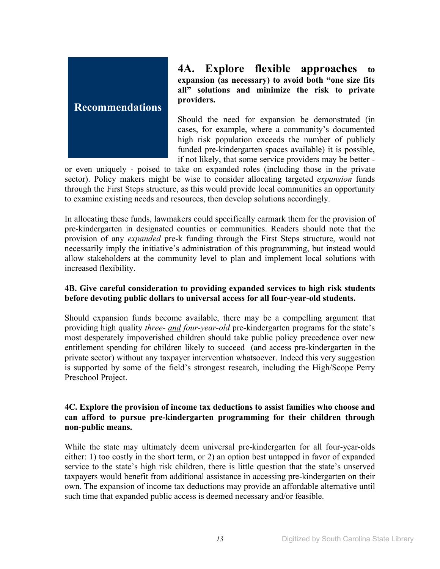

**4A. Explore flexible approaches to expansion (as necessary) to avoid both "one size fits all" solutions and minimize the risk to private providers.** 

Should the need for expansion be demonstrated (in cases, for example, where a community's documented high risk population exceeds the number of publicly funded pre-kindergarten spaces available) it is possible, if not likely, that some service providers may be better -

or even uniquely - poised to take on expanded roles (including those in the private sector). Policy makers might be wise to consider allocating targeted *expansion* funds through the First Steps structure, as this would provide local communities an opportunity to examine existing needs and resources, then develop solutions accordingly.

In allocating these funds, lawmakers could specifically earmark them for the provision of pre-kindergarten in designated counties or communities. Readers should note that the provision of any *expanded* pre-k funding through the First Steps structure, would not necessarily imply the initiative's administration of this programming, but instead would allow stakeholders at the community level to plan and implement local solutions with increased flexibility.

## **4B. Give careful consideration to providing expanded services to high risk students before devoting public dollars to universal access for all four-year-old students.**

Should expansion funds become available, there may be a compelling argument that providing high quality *three- and four-year-old* pre-kindergarten programs for the state's most desperately impoverished children should take public policy precedence over new entitlement spending for children likely to succeed (and access pre-kindergarten in the private sector) without any taxpayer intervention whatsoever. Indeed this very suggestion is supported by some of the field's strongest research, including the High/Scope Perry Preschool Project.

#### **4C. Explore the provision of income tax deductions to assist families who choose and can afford to pursue pre-kindergarten programming for their children through non-public means.**

While the state may ultimately deem universal pre-kindergarten for all four-year-olds either: 1) too costly in the short term, or 2) an option best untapped in favor of expanded service to the state's high risk children, there is little question that the state's unserved taxpayers would benefit from additional assistance in accessing pre-kindergarten on their own. The expansion of income tax deductions may provide an affordable alternative until such time that expanded public access is deemed necessary and/or feasible.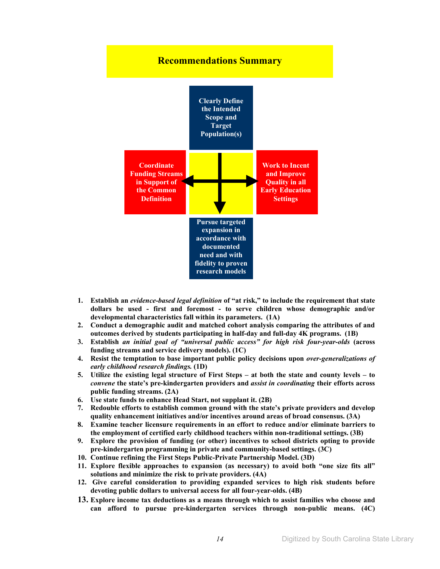

- **1. Establish an** *evidence-based legal definition* **of "at risk," to include the requirement that state dollars be used - first and foremost - to serve children whose demographic and/or developmental characteristics fall within its parameters. (1A)**
- **2. Conduct a demographic audit and matched cohort analysis comparing the attributes of and outcomes derived by students participating in half-day and full-day 4K programs. (1B)**
- **3. Establish** *an initial goal of "universal public access" for high risk four-year-olds* **(across funding streams and service delivery models). (1C)**
- **4. Resist the temptation to base important public policy decisions upon** *over-generalizations of early childhood research findings.* **(1D)**
- **5. Utilize the existing legal structure of First Steps at both the state and county levels to**  *convene* **the state's pre-kindergarten providers and** *assist in coordinating* **their efforts across public funding streams. (2A)**
- **6. Use state funds to enhance Head Start, not supplant it. (2B)**
- **7. Redouble efforts to establish common ground with the state's private providers and develop quality enhancement initiatives and/or incentives around areas of broad consensus. (3A)**
- **8. Examine teacher licensure requirements in an effort to reduce and/or eliminate barriers to the employment of certified early childhood teachers within non-traditional settings. (3B)**
- **9. Explore the provision of funding (or other) incentives to school districts opting to provide pre-kindergarten programming in private and community-based settings. (3C)**
- **10. Continue refining the First Steps Public-Private Partnership Model. (3D)**
- **11. Explore flexible approaches to expansion (as necessary) to avoid both "one size fits all" solutions and minimize the risk to private providers. (4A)**
- **12. Give careful consideration to providing expanded services to high risk students before devoting public dollars to universal access for all four-year-olds. (4B)**
- **13. Explore income tax deductions as a means through which to assist families who choose and can afford to pursue pre-kindergarten services through non-public means. (4C)**